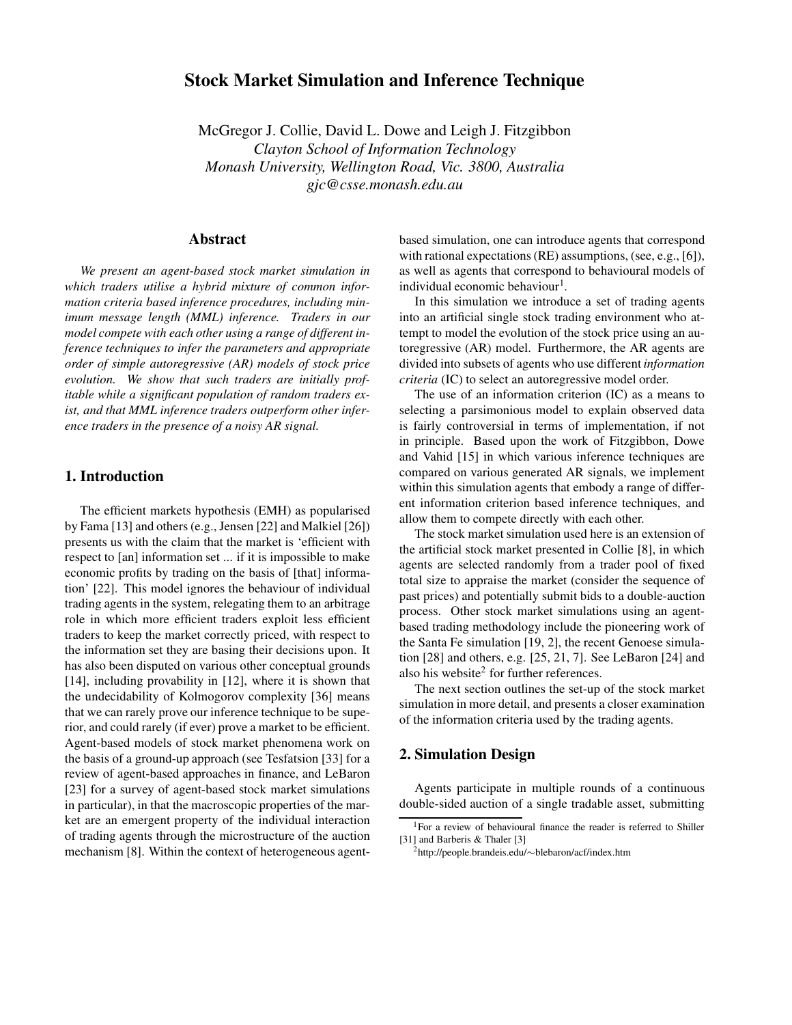# **Stock Market Simulation and Inference Technique**

McGregor J. Collie, David L. Dowe and Leigh J. Fitzgibbon *Clayton School of Information Technology Monash University, Wellington Road, Vic. 3800, Australia gjc@csse.monash.edu.au*

### **Abstract**

*We present an agent-based stock market simulation in which traders utilise a hybrid mixture of common information criteria based inference procedures, including minimum message length (MML) inference. Traders in our model compete with each other using a range of different inference techniques to infer the parameters and appropriate order of simple autoregressive (AR) models of stock price evolution. We show that such traders are initially profitable while a significant population of random traders exist, and that MML inference traders outperform other inference traders in the presence of a noisy AR signal.*

### **1. Introduction**

The efficient markets hypothesis (EMH) as popularised by Fama [13] and others (e.g., Jensen [22] and Malkiel [26]) presents us with the claim that the market is 'efficient with respect to [an] information set ... if it is impossible to make economic profits by trading on the basis of [that] information' [22]. This model ignores the behaviour of individual trading agents in the system, relegating them to an arbitrage role in which more efficient traders exploit less efficient traders to keep the market correctly priced, with respect to the information set they are basing their decisions upon. It has also been disputed on various other conceptual grounds [14], including provability in [12], where it is shown that the undecidability of Kolmogorov complexity [36] means that we can rarely prove our inference technique to be superior, and could rarely (if ever) prove a market to be efficient. Agent-based models of stock market phenomena work on the basis of a ground-up approach (see Tesfatsion [33] for a review of agent-based approaches in finance, and LeBaron [23] for a survey of agent-based stock market simulations in particular), in that the macroscopic properties of the market are an emergent property of the individual interaction of trading agents through the microstructure of the auction mechanism [8]. Within the context of heterogeneous agentbased simulation, one can introduce agents that correspond with rational expectations (RE) assumptions, (see, e.g., [6]), as well as agents that correspond to behavioural models of individual economic behaviour<sup>1</sup>.

In this simulation we introduce a set of trading agents into an artificial single stock trading environment who attempt to model the evolution of the stock price using an autoregressive (AR) model. Furthermore, the AR agents are divided into subsets of agents who use different *information criteria* (IC) to select an autoregressive model order.

The use of an information criterion (IC) as a means to selecting a parsimonious model to explain observed data is fairly controversial in terms of implementation, if not in principle. Based upon the work of Fitzgibbon, Dowe and Vahid [15] in which various inference techniques are compared on various generated AR signals, we implement within this simulation agents that embody a range of different information criterion based inference techniques, and allow them to compete directly with each other.

The stock market simulation used here is an extension of the artificial stock market presented in Collie [8], in which agents are selected randomly from a trader pool of fixed total size to appraise the market (consider the sequence of past prices) and potentially submit bids to a double-auction process. Other stock market simulations using an agentbased trading methodology include the pioneering work of the Santa Fe simulation [19, 2], the recent Genoese simulation [28] and others, e.g. [25, 21, 7]. See LeBaron [24] and also his website<sup>2</sup> for further references.

The next section outlines the set-up of the stock market simulation in more detail, and presents a closer examination of the information criteria used by the trading agents.

### **2. Simulation Design**

Agents participate in multiple rounds of a continuous double-sided auction of a single tradable asset, submitting

<sup>&</sup>lt;sup>1</sup>For a review of behavioural finance the reader is referred to Shiller [31] and Barberis & Thaler [3]

<sup>2</sup>http://people.brandeis.edu/∼blebaron/acf/index.htm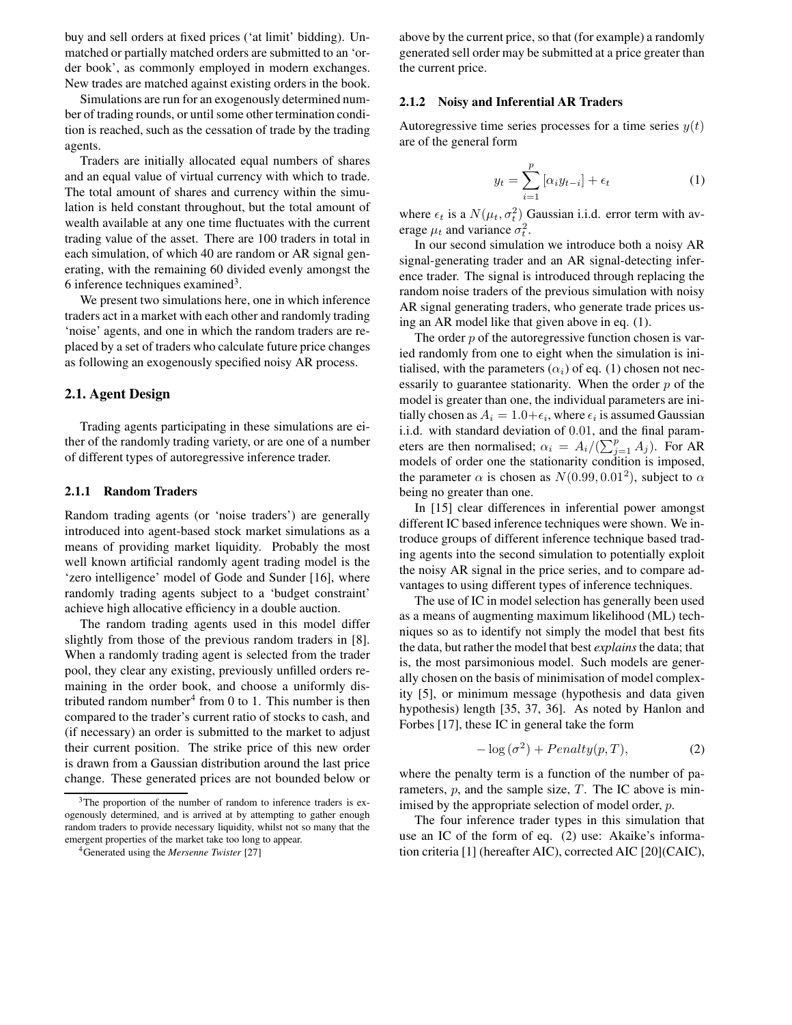buy and sell orders at fixed prices ('at limit' bidding). Unmatched or partially matched orders are submitted to an 'order book', as commonly employed in modern exchanges. New trades are matched against existing orders in the book.

Simulations are run for an exogenously determined number of trading rounds, or until some other termination condition is reached, such as the cessation of trade by the trading agents.

Traders are initially allocated equal numbers of shares and an equal value of virtual currency with which to trade. The total amount of shares and currency within the simulation is held constant throughout, but the total amount of wealth available at any one time fluctuates with the current trading value of the asset. There are 100 traders in total in each simulation, of which 40 are random or AR signal generating, with the remaining 60 divided evenly amongst the 6 inference techniques examined<sup>3</sup>.

We present two simulations here, one in which inference traders act in a market with each other and randomly trading 'noise' agents, and one in which the random traders are replaced by a set of traders who calculate future price changes as following an exogenously specified noisy AR process.

#### **2.1. Agent Design**

Trading agents participating in these simulations are either of the randomly trading variety, or are one of a number of different types of autoregressive inference trader.

### **2.1.1 Random Traders**

Random trading agents (or 'noise traders') are generally introduced into agent-based stock market simulations as a means of providing market liquidity. Probably the most well known artificial randomly agent trading model is the 'zero intelligence' model of Gode and Sunder [16], where randomly trading agents subject to a 'budget constraint' achieve high allocative efficiency in a double auction.

The random trading agents used in this model differ slightly from those of the previous random traders in [8]. When a randomly trading agent is selected from the trader pool, they clear any existing, previously unfilled orders remaining in the order book, and choose a uniformly distributed random number<sup>4</sup> from 0 to 1. This number is then compared to the trader's current ratio of stocks to cash, and (if necessary) an order is submitted to the market to adjust their current position. The strike price of this new order is drawn from a Gaussian distribution around the last price change. These generated prices are not bounded below or above by the current price, so that (for example) a randomly generated sell order may be submitted at a price greater than the current price.

#### **2.1.2 Noisy and Inferential AR Traders**

Autoregressive time series processes for a time series  $y(t)$ are of the general form

$$
y_t = \sum_{i=1}^p [\alpha_i y_{t-i}] + \epsilon_t \tag{1}
$$

where  $\epsilon_t$  is a  $N(\mu_t, \sigma_t^2)$  Gaussian i.i.d. error term with average  $\mu_t$  and variance  $\sigma_t^2$ .

In our second simulation we introduce both a noisy AR signal-generating trader and an AR signal-detecting inference trader. The signal is introduced through replacing the random noise traders of the previous simulation with noisy AR signal generating traders, who generate trade prices using an AR model like that given above in eq. (1).

The order  $p$  of the autoregressive function chosen is varied randomly from one to eight when the simulation is initialised, with the parameters  $(\alpha_i)$  of eq. (1) chosen not necessarily to guarantee stationarity. When the order  $p$  of the model is greater than one, the individual parameters are initially chosen as  $A_i = 1.0 + \epsilon_i$ , where  $\epsilon_i$  is assumed Gaussian i.i.d. with standard deviation of 0.01, and the final parameters are then normalised;  $\alpha_i = A_i/(\sum_{j=1}^p A_j)$ . For AR models of order one the stationarity condition is imposed, the parameter  $\alpha$  is chosen as  $N(0.99, 0.01^2)$ , subject to  $\alpha$ being no greater than one.

In [15] clear differences in inferential power amongst different IC based inference techniques were shown. We introduce groups of different inference technique based trading agents into the second simulation to potentially exploit the noisy AR signal in the price series, and to compare advantages to using different types of inference techniques.

The use of IC in model selection has generally been used as a means of augmenting maximum likelihood (ML) techniques so as to identify not simply the model that best fits the data, but rather the model that best *explains*the data; that is, the most parsimonious model. Such models are generally chosen on the basis of minimisation of model complexity [5], or minimum message (hypothesis and data given hypothesis) length [35, 37, 36]. As noted by Hanlon and Forbes [17], these IC in general take the form

$$
-\log(\sigma^2) + Penalty(p, T),\tag{2}
$$

where the penalty term is a function of the number of parameters,  $p$ , and the sample size,  $T$ . The IC above is minimised by the appropriate selection of model order, *p*.

The four inference trader types in this simulation that use an IC of the form of eq. (2) use: Akaike's information criteria [1] (hereafter AIC), corrected AIC [20](CAIC),

<sup>&</sup>lt;sup>3</sup>The proportion of the number of random to inference traders is exogenously determined, and is arrived at by attempting to gather enough random traders to provide necessary liquidity, whilst not so many that the emergent properties of the market take too long to appear.

<sup>4</sup>Generated using the *Mersenne Twister* [27]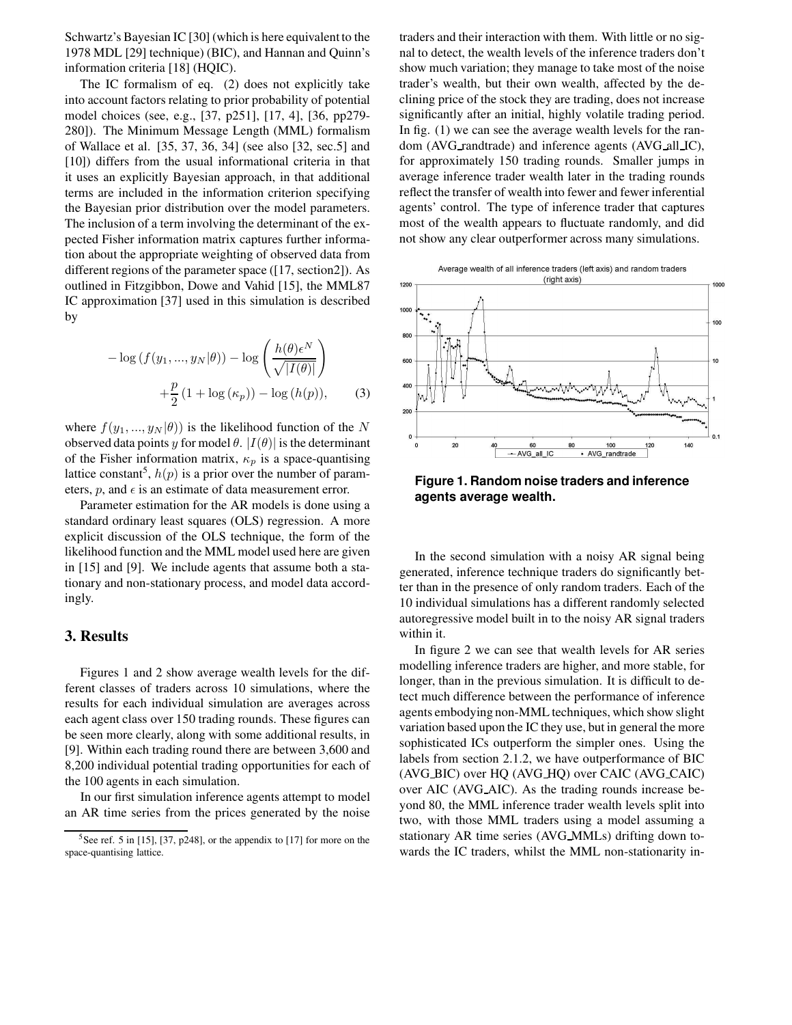Schwartz's Bayesian IC [30] (which is here equivalent to the 1978 MDL [29] technique) (BIC), and Hannan and Quinn's information criteria [18] (HQIC).

The IC formalism of eq. (2) does not explicitly take into account factors relating to prior probability of potential model choices (see, e.g., [37, p251], [17, 4], [36, pp279- 280]). The Minimum Message Length (MML) formalism of Wallace et al. [35, 37, 36, 34] (see also [32, sec.5] and [10]) differs from the usual informational criteria in that it uses an explicitly Bayesian approach, in that additional terms are included in the information criterion specifying the Bayesian prior distribution over the model parameters. The inclusion of a term involving the determinant of the expected Fisher information matrix captures further information about the appropriate weighting of observed data from different regions of the parameter space ([17, section2]). As outlined in Fitzgibbon, Dowe and Vahid [15], the MML87 IC approximation [37] used in this simulation is described by

$$
- \log (f(y_1, ..., y_N | \theta)) - \log \left( \frac{h(\theta) \epsilon^N}{\sqrt{|I(\theta)|}} \right)
$$

$$
+ \frac{p}{2} (1 + \log (\kappa_p)) - \log (h(p)), \qquad (3)
$$

where  $f(y_1, ..., y_N | \theta)$  is the likelihood function of the N observed data points y for model  $\theta$ .  $|I(\theta)|$  is the determinant of the Fisher information matrix,  $\kappa_p$  is a space-quantising lattice constant<sup>5</sup>,  $h(p)$  is a prior over the number of parameters,  $p$ , and  $\epsilon$  is an estimate of data measurement error.

Parameter estimation for the AR models is done using a standard ordinary least squares (OLS) regression. A more explicit discussion of the OLS technique, the form of the likelihood function and the MML model used here are given in [15] and [9]. We include agents that assume both a stationary and non-stationary process, and model data accordingly.

### **3. Results**

Figures 1 and 2 show average wealth levels for the different classes of traders across 10 simulations, where the results for each individual simulation are averages across each agent class over 150 trading rounds. These figures can be seen more clearly, along with some additional results, in [9]. Within each trading round there are between 3,600 and 8,200 individual potential trading opportunities for each of the 100 agents in each simulation.

In our first simulation inference agents attempt to model an AR time series from the prices generated by the noise

traders and their interaction with them. With little or no signal to detect, the wealth levels of the inference traders don't show much variation; they manage to take most of the noise trader's wealth, but their own wealth, affected by the declining price of the stock they are trading, does not increase significantly after an initial, highly volatile trading period. In fig. (1) we can see the average wealth levels for the random (AVG\_randtrade) and inference agents (AVG\_all\_IC), for approximately 150 trading rounds. Smaller jumps in average inference trader wealth later in the trading rounds reflect the transfer of wealth into fewer and fewer inferential agents' control. The type of inference trader that captures most of the wealth appears to fluctuate randomly, and did not show any clear outperformer across many simulations.

Average wealth of all inference traders (left axis) and random traders



**Figure 1. Random noise traders and inference agents average wealth.**

In the second simulation with a noisy AR signal being generated, inference technique traders do significantly better than in the presence of only random traders. Each of the 10 individual simulations has a different randomly selected autoregressive model built in to the noisy AR signal traders within it.

In figure 2 we can see that wealth levels for AR series modelling inference traders are higher, and more stable, for longer, than in the previous simulation. It is difficult to detect much difference between the performance of inference agents embodying non-MML techniques, which show slight variation based upon the IC they use, but in general the more sophisticated ICs outperform the simpler ones. Using the labels from section 2.1.2, we have outperformance of BIC (AVG BIC) over HQ (AVG HQ) over CAIC (AVG CAIC) over AIC (AVG AIC). As the trading rounds increase beyond 80, the MML inference trader wealth levels split into two, with those MML traders using a model assuming a stationary AR time series (AVG MMLs) drifting down towards the IC traders, whilst the MML non-stationarity in-

 $5$ See ref. 5 in [15], [37, p248], or the appendix to [17] for more on the space-quantising lattice.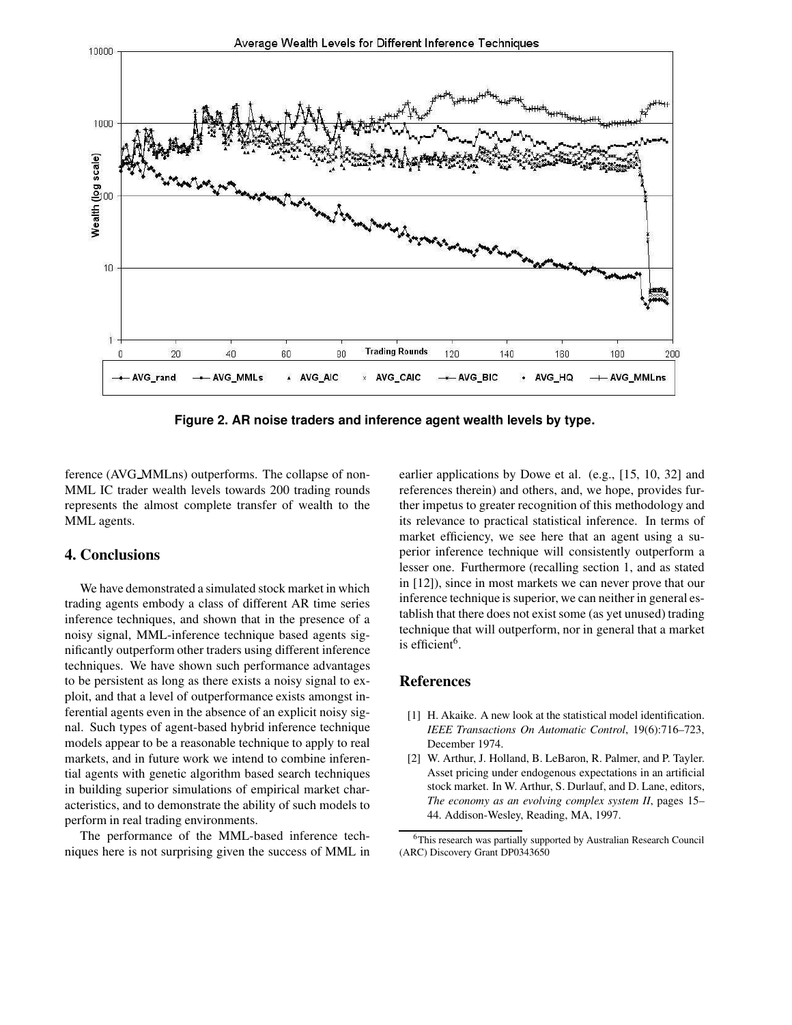

**Figure 2. AR noise traders and inference agent wealth levels by type.**

ference (AVG MMLns) outperforms. The collapse of non-MML IC trader wealth levels towards 200 trading rounds represents the almost complete transfer of wealth to the MML agents.

## **4. Conclusions**

We have demonstrated a simulated stock market in which trading agents embody a class of different AR time series inference techniques, and shown that in the presence of a noisy signal, MML-inference technique based agents significantly outperform other traders using different inference techniques. We have shown such performance advantages to be persistent as long as there exists a noisy signal to exploit, and that a level of outperformance exists amongst inferential agents even in the absence of an explicit noisy signal. Such types of agent-based hybrid inference technique models appear to be a reasonable technique to apply to real markets, and in future work we intend to combine inferential agents with genetic algorithm based search techniques in building superior simulations of empirical market characteristics, and to demonstrate the ability of such models to perform in real trading environments.

The performance of the MML-based inference techniques here is not surprising given the success of MML in earlier applications by Dowe et al. (e.g., [15, 10, 32] and references therein) and others, and, we hope, provides further impetus to greater recognition of this methodology and its relevance to practical statistical inference. In terms of market efficiency, we see here that an agent using a superior inference technique will consistently outperform a lesser one. Furthermore (recalling section 1, and as stated in [12]), since in most markets we can never prove that our inference technique is superior, we can neither in general establish that there does not exist some (as yet unused) trading technique that will outperform, nor in general that a market is efficient<sup>6</sup>.

### **References**

- [1] H. Akaike. A new look at the statistical model identification. *IEEE Transactions On Automatic Control*, 19(6):716–723, December 1974.
- [2] W. Arthur, J. Holland, B. LeBaron, R. Palmer, and P. Tayler. Asset pricing under endogenous expectations in an artificial stock market. In W. Arthur, S. Durlauf, and D. Lane, editors, *The economy as an evolving complex system II*, pages 15– 44. Addison-Wesley, Reading, MA, 1997.

<sup>6</sup>This research was partially supported by Australian Research Council (ARC) Discovery Grant DP0343650